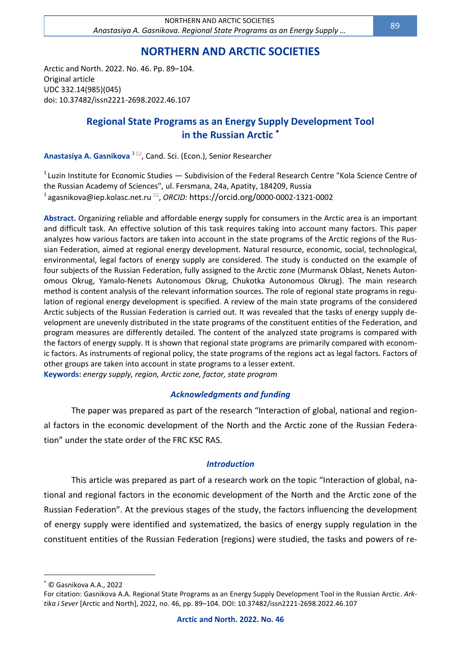# **NORTHERN AND ARCTIC SOCIETIES**

Arctic and North. 2022. No. 46. Pp. 89–104. Original article UDC 332.14(985)(045) doi: 10.37482/issn2221-2698.2022.46.107

# **Regional State Programs as an Energy Supply Development Tool in the Russian Arctic**

**Anastasiya A. Gasnikova** <sup>1⊠</sup>, Cand. Sci. (Econ.), Senior Researcher

 $^1$ Luzin Institute for Economic Studies — Subdivision of the Federal Research Centre "Kola Science Centre of the Russian Academy of Sciences", ul. Fersmana, 24a, Apatity, 184209, Russia <sup>1</sup>[agasnikova@iep.kolasc.net.ru](mailto:agasnikova@iep.kolasc.net.ru) <sup>⊠</sup>, *ORCID:* https://orcid.org/0000-0002-1321-0002

**Abstract.** Organizing reliable and affordable energy supply for consumers in the Arctic area is an important and difficult task. An effective solution of this task requires taking into account many factors. This paper analyzes how various factors are taken into account in the state programs of the Arctic regions of the Russian Federation, aimed at regional energy development. Natural resource, economic, social, technological, environmental, legal factors of energy supply are considered. The study is conducted on the example of four subjects of the Russian Federation, fully assigned to the Arctic zone (Murmansk Oblast, Nenets Autonomous Okrug, Yamalo-Nenets Autonomous Okrug, Chukotka Autonomous Okrug). The main research method is content analysis of the relevant information sources. The role of regional state programs in regulation of regional energy development is specified. A review of the main state programs of the considered Arctic subjects of the Russian Federation is carried out. It was revealed that the tasks of energy supply development are unevenly distributed in the state programs of the constituent entities of the Federation, and program measures are differently detailed. The content of the analyzed state programs is compared with the factors of energy supply. It is shown that regional state programs are primarily compared with economic factors. As instruments of regional policy, the state programs of the regions act as legal factors. Factors of other groups are taken into account in state programs to a lesser extent. **Keywords:** *energy supply, region, Arctic zone, factor, state program*

# *Acknowledgments and funding*

The paper was prepared as part of the research "Interaction of global, national and regional factors in the economic development of the North and the Arctic zone of the Russian Federation" under the state order of the FRC KSC RAS.

# *Introduction*

This article was prepared as part of a research work on the topic "Interaction of global, national and regional factors in the economic development of the North and the Arctic zone of the Russian Federation". At the previous stages of the study, the factors influencing the development of energy supply were identified and systematized, the basics of energy supply regulation in the constituent entities of the Russian Federation (regions) were studied, the tasks and powers of re-

© Gasnikova А.А., 2022

For citation: Gasnikova А.А. Regional State Programs as an Energy Supply Development Tool in the Russian Arctic. *Arktika i Sever* [Arctic and North], 2022, no. 46, pp. 89–104. DOI: 10.37482/issn2221-2698.2022.46.107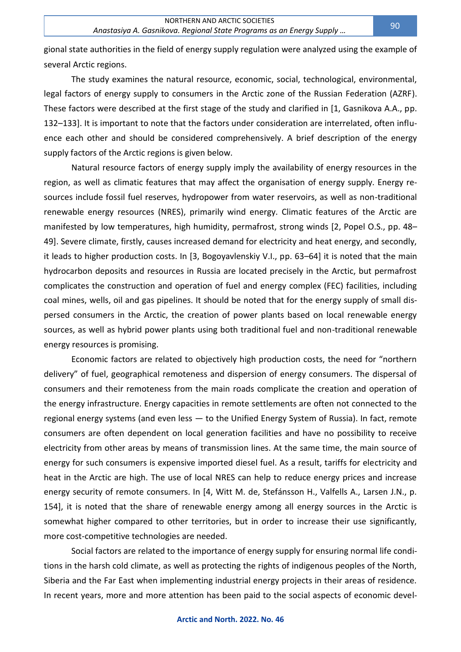gional state authorities in the field of energy supply regulation were analyzed using the example of several Arctic regions.

The study examines the natural resource, economic, social, technological, environmental, legal factors of energy supply to consumers in the Arctic zone of the Russian Federation (AZRF). These factors were described at the first stage of the study and clarified in [1, Gasnikova A.A., pp. 132–133]. It is important to note that the factors under consideration are interrelated, often influence each other and should be considered comprehensively. A brief description of the energy supply factors of the Arctic regions is given below.

Natural resource factors of energy supply imply the availability of energy resources in the region, as well as climatic features that may affect the organisation of energy supply. Energy resources include fossil fuel reserves, hydropower from water reservoirs, as well as non-traditional renewable energy resources (NRES), primarily wind energy. Climatic features of the Arctic are manifested by low temperatures, high humidity, permafrost, strong winds [2, Popel O.S., pp. 48– 49]. Severe climate, firstly, causes increased demand for electricity and heat energy, and secondly, it leads to higher production costs. In [3, Bogoyavlenskiy V.I., pp. 63–64] it is noted that the main hydrocarbon deposits and resources in Russia are located precisely in the Arctic, but permafrost complicates the construction and operation of fuel and energy complex (FEC) facilities, including coal mines, wells, oil and gas pipelines. It should be noted that for the energy supply of small dispersed consumers in the Arctic, the creation of power plants based on local renewable energy sources, as well as hybrid power plants using both traditional fuel and non-traditional renewable energy resources is promising.

Economic factors are related to objectively high production costs, the need for "northern delivery" of fuel, geographical remoteness and dispersion of energy consumers. The dispersal of consumers and their remoteness from the main roads complicate the creation and operation of the energy infrastructure. Energy capacities in remote settlements are often not connected to the regional energy systems (and even less — to the Unified Energy System of Russia). In fact, remote consumers are often dependent on local generation facilities and have no possibility to receive electricity from other areas by means of transmission lines. At the same time, the main source of energy for such consumers is expensive imported diesel fuel. As a result, tariffs for electricity and heat in the Arctic are high. The use of local NRES can help to reduce energy prices and increase energy security of remote consumers. In [4, Witt M. de, Stefánsson H., Valfells A., Larsen J.N., p. 154], it is noted that the share of renewable energy among all energy sources in the Arctic is somewhat higher compared to other territories, but in order to increase their use significantly, more cost-competitive technologies are needed.

Social factors are related to the importance of energy supply for ensuring normal life conditions in the harsh cold climate, as well as protecting the rights of indigenous peoples of the North, Siberia and the Far East when implementing industrial energy projects in their areas of residence. In recent years, more and more attention has been paid to the social aspects of economic devel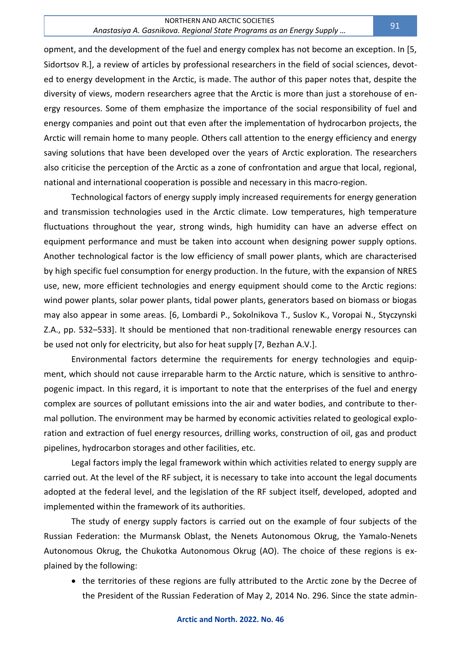opment, and the development of the fuel and energy complex has not become an exception. In [5, Sidortsov R.], a review of articles by professional researchers in the field of social sciences, devoted to energy development in the Arctic, is made. The author of this paper notes that, despite the diversity of views, modern researchers agree that the Arctic is more than just a storehouse of energy resources. Some of them emphasize the importance of the social responsibility of fuel and energy companies and point out that even after the implementation of hydrocarbon projects, the Arctic will remain home to many people. Others call attention to the energy efficiency and energy saving solutions that have been developed over the years of Arctic exploration. The researchers also criticise the perception of the Arctic as a zone of confrontation and argue that local, regional, national and international cooperation is possible and necessary in this macro-region.

Technological factors of energy supply imply increased requirements for energy generation and transmission technologies used in the Arctic climate. Low temperatures, high temperature fluctuations throughout the year, strong winds, high humidity can have an adverse effect on equipment performance and must be taken into account when designing power supply options. Another technological factor is the low efficiency of small power plants, which are characterised by high specific fuel consumption for energy production. In the future, with the expansion of NRES use, new, more efficient technologies and energy equipment should come to the Arctic regions: wind power plants, solar power plants, tidal power plants, generators based on biomass or biogas may also appear in some areas. [6, Lombardi P., Sokolnikova T., Suslov K., Voropai N., Styczynski Z.A., pp. 532–533]. It should be mentioned that non-traditional renewable energy resources can be used not only for electricity, but also for heat supply [7, Bezhan A.V.].

Environmental factors determine the requirements for energy technologies and equipment, which should not cause irreparable harm to the Arctic nature, which is sensitive to anthropogenic impact. In this regard, it is important to note that the enterprises of the fuel and energy complex are sources of pollutant emissions into the air and water bodies, and contribute to thermal pollution. The environment may be harmed by economic activities related to geological exploration and extraction of fuel energy resources, drilling works, construction of oil, gas and product pipelines, hydrocarbon storages and other facilities, etc.

Legal factors imply the legal framework within which activities related to energy supply are carried out. At the level of the RF subject, it is necessary to take into account the legal documents adopted at the federal level, and the legislation of the RF subject itself, developed, adopted and implemented within the framework of its authorities.

The study of energy supply factors is carried out on the example of four subjects of the Russian Federation: the Murmansk Oblast, the Nenets Autonomous Okrug, the Yamalo-Nenets Autonomous Okrug, the Chukotka Autonomous Okrug (AO). The choice of these regions is explained by the following:

• the territories of these regions are fully attributed to the Arctic zone by the Decree of the President of the Russian Federation of May 2, 2014 No. 296. Since the state admin-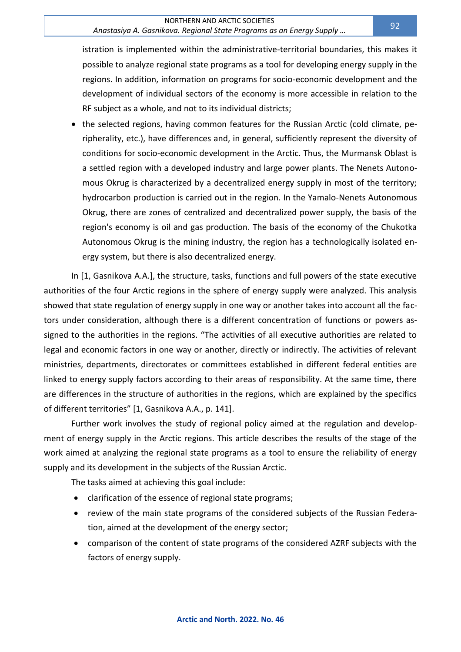#### NORTHERN AND ARCTIC SOCIETIES

### *Anastasiya A. Gasnikova. Regional State Programs as an Energy Supply …*

istration is implemented within the administrative-territorial boundaries, this makes it possible to analyze regional state programs as a tool for developing energy supply in the regions. In addition, information on programs for socio-economic development and the development of individual sectors of the economy is more accessible in relation to the RF subject as a whole, and not to its individual districts;

• the selected regions, having common features for the Russian Arctic (cold climate, peripherality, etc.), have differences and, in general, sufficiently represent the diversity of conditions for socio-economic development in the Arctic. Thus, the Murmansk Oblast is a settled region with a developed industry and large power plants. The Nenets Autonomous Okrug is characterized by a decentralized energy supply in most of the territory; hydrocarbon production is carried out in the region. In the Yamalo-Nenets Autonomous Okrug, there are zones of centralized and decentralized power supply, the basis of the region's economy is oil and gas production. The basis of the economy of the Chukotka Autonomous Okrug is the mining industry, the region has a technologically isolated energy system, but there is also decentralized energy.

In [1, Gasnikova A.A.], the structure, tasks, functions and full powers of the state executive authorities of the four Arctic regions in the sphere of energy supply were analyzed. This analysis showed that state regulation of energy supply in one way or another takes into account all the factors under consideration, although there is a different concentration of functions or powers assigned to the authorities in the regions. "The activities of all executive authorities are related to legal and economic factors in one way or another, directly or indirectly. The activities of relevant ministries, departments, directorates or committees established in different federal entities are linked to energy supply factors according to their areas of responsibility. At the same time, there are differences in the structure of authorities in the regions, which are explained by the specifics of different territories" [1, Gasnikova A.A., p. 141].

Further work involves the study of regional policy aimed at the regulation and development of energy supply in the Arctic regions. This article describes the results of the stage of the work aimed at analyzing the regional state programs as a tool to ensure the reliability of energy supply and its development in the subjects of the Russian Arctic.

The tasks aimed at achieving this goal include:

- clarification of the essence of regional state programs;
- review of the main state programs of the considered subjects of the Russian Federation, aimed at the development of the energy sector;
- comparison of the content of state programs of the considered AZRF subjects with the factors of energy supply.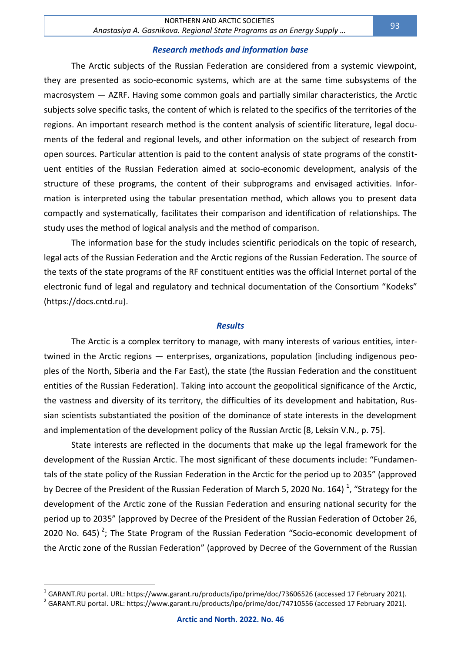#### *Research methods and information base*

The Arctic subjects of the Russian Federation are considered from a systemic viewpoint, they are presented as socio-economic systems, which are at the same time subsystems of the macrosystem — AZRF. Having some common goals and partially similar characteristics, the Arctic subjects solve specific tasks, the content of which is related to the specifics of the territories of the regions. An important research method is the content analysis of scientific literature, legal documents of the federal and regional levels, and other information on the subject of research from open sources. Particular attention is paid to the content analysis of state programs of the constituent entities of the Russian Federation aimed at socio-economic development, analysis of the structure of these programs, the content of their subprograms and envisaged activities. Information is interpreted using the tabular presentation method, which allows you to present data compactly and systematically, facilitates their comparison and identification of relationships. The study uses the method of logical analysis and the method of comparison.

The information base for the study includes scientific periodicals on the topic of research, legal acts of the Russian Federation and the Arctic regions of the Russian Federation. The source of the texts of the state programs of the RF constituent entities was the official Internet portal of the electronic fund of legal and regulatory and technical documentation of the Consortium "Kodeks" (https://docs.cntd.ru).

#### *Results*

The Arctic is a complex territory to manage, with many interests of various entities, intertwined in the Arctic regions — enterprises, organizations, population (including indigenous peoples of the North, Siberia and the Far East), the state (the Russian Federation and the constituent entities of the Russian Federation). Taking into account the geopolitical significance of the Arctic, the vastness and diversity of its territory, the difficulties of its development and habitation, Russian scientists substantiated the position of the dominance of state interests in the development and implementation of the development policy of the Russian Arctic [8, Leksin V.N., p. 75].

State interests are reflected in the documents that make up the legal framework for the development of the Russian Arctic. The most significant of these documents include: "Fundamentals of the state policy of the Russian Federation in the Arctic for the period up to 2035" (approved by Decree of the President of the Russian Federation of March 5, 2020 No. 164)<sup>1</sup>, "Strategy for the development of the Arctic zone of the Russian Federation and ensuring national security for the period up to 2035" (approved by Decree of the President of the Russian Federation of October 26, 2020 No. 645)<sup>2</sup>; The State Program of the Russian Federation "Socio-economic development of the Arctic zone of the Russian Federation" (approved by Decree of the Government of the Russian

 $^1$  GARANT.RU portal. URL: https://www.garant.ru/products/ipo/prime/doc/73606526 (accessed 17 February 2021).

 $^{2}$  GARANT.RU portal. URL: https://www.garant.ru/products/ipo/prime/doc/74710556 (accessed 17 February 2021).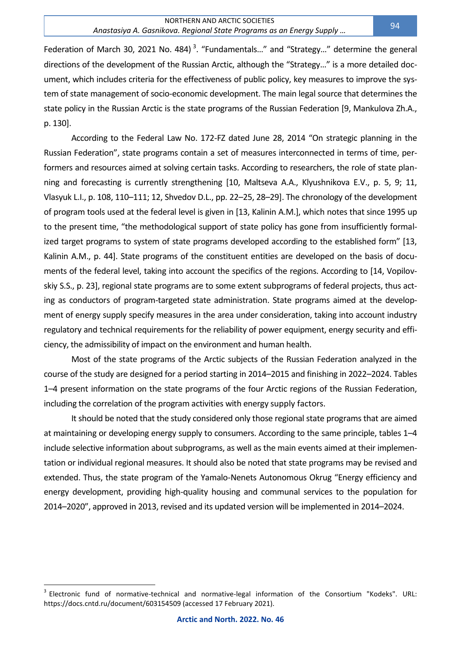Federation of March 30, 2021 No. 484)<sup>3</sup>. "Fundamentals..." and "Strategy..." determine the general directions of the development of the Russian Arctic, although the "Strategy…" is a more detailed document, which includes criteria for the effectiveness of public policy, key measures to improve the system of state management of socio-economic development. The main legal source that determines the state policy in the Russian Arctic is the state programs of the Russian Federation [9, Mankulova Zh.A., p. 130].

According to the Federal Law No. 172-FZ dated June 28, 2014 "On strategic planning in the Russian Federation", state programs contain a set of measures interconnected in terms of time, performers and resources aimed at solving certain tasks. According to researchers, the role of state planning and forecasting is currently strengthening [10, Maltseva A.A., Klyushnikova E.V., p. 5, 9; 11, Vlasyuk L.I., p. 108, 110–111; 12, Shvedov D.L., pp. 22–25, 28–29]. The chronology of the development of program tools used at the federal level is given in [13, Kalinin A.M.], which notes that since 1995 up to the present time, "the methodological support of state policy has gone from insufficiently formalized target programs to system of state programs developed according to the established form" [13, Kalinin A.M., p. 44]. State programs of the constituent entities are developed on the basis of documents of the federal level, taking into account the specifics of the regions. According to [14, Vopilovskiy S.S., p. 23], regional state programs are to some extent subprograms of federal projects, thus acting as conductors of program-targeted state administration. State programs aimed at the development of energy supply specify measures in the area under consideration, taking into account industry regulatory and technical requirements for the reliability of power equipment, energy security and efficiency, the admissibility of impact on the environment and human health.

Most of the state programs of the Arctic subjects of the Russian Federation analyzed in the course of the study are designed for a period starting in 2014–2015 and finishing in 2022–2024. Tables 1–4 present information on the state programs of the four Arctic regions of the Russian Federation, including the correlation of the program activities with energy supply factors.

It should be noted that the study considered only those regional state programs that are aimed at maintaining or developing energy supply to consumers. According to the same principle, tables 1–4 include selective information about subprograms, as well as the main events aimed at their implementation or individual regional measures. It should also be noted that state programs may be revised and extended. Thus, the state program of the Yamalo-Nenets Autonomous Okrug "Energy efficiency and energy development, providing high-quality housing and communal services to the population for 2014–2020", approved in 2013, revised and its updated version will be implemented in 2014–2024.

<sup>&</sup>lt;sup>3</sup> Electronic fund of normative-technical and normative-legal information of the Consortium "Kodeks". URL: https://docs.cntd.ru/document/603154509 (accessed 17 February 2021).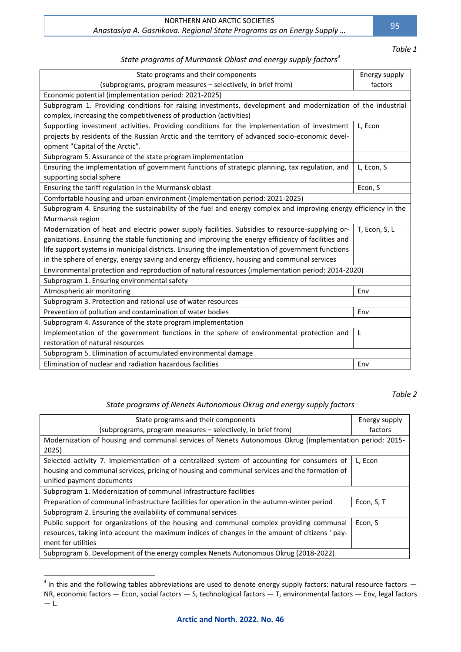#### NORTHERN AND ARCTIC SOCIETIES *Anastasiya A. Gasnikova. Regional State Programs as an Energy Supply …*

*Table 1*

95

## *State programs of Murmansk Oblast and energy supply factors<sup>4</sup>*

| State programs and their components                                                                             | Energy supply |  |
|-----------------------------------------------------------------------------------------------------------------|---------------|--|
| (subprograms, program measures - selectively, in brief from)                                                    | factors       |  |
| Economic potential (implementation period: 2021-2025)                                                           |               |  |
| Subprogram 1. Providing conditions for raising investments, development and modernization of the industrial     |               |  |
| complex, increasing the competitiveness of production (activities)                                              |               |  |
| Supporting investment activities. Providing conditions for the implementation of investment                     | L, Econ       |  |
| projects by residents of the Russian Arctic and the territory of advanced socio-economic devel-                 |               |  |
| opment "Capital of the Arctic".                                                                                 |               |  |
| Subprogram 5. Assurance of the state program implementation                                                     |               |  |
| Ensuring the implementation of government functions of strategic planning, tax regulation, and                  | L, Econ, S    |  |
| supporting social sphere                                                                                        |               |  |
| Ensuring the tariff regulation in the Murmansk oblast                                                           | Econ, S       |  |
| Comfortable housing and urban environment (implementation period: 2021-2025)                                    |               |  |
| Subprogram 4. Ensuring the sustainability of the fuel and energy complex and improving energy efficiency in the |               |  |
| Murmansk region                                                                                                 |               |  |
| Modernization of heat and electric power supply facilities. Subsidies to resource-supplying or-                 | T, Econ, S, L |  |
| ganizations. Ensuring the stable functioning and improving the energy efficiency of facilities and              |               |  |
| life support systems in municipal districts. Ensuring the implementation of government functions                |               |  |
| in the sphere of energy, energy saving and energy efficiency, housing and communal services                     |               |  |
| Environmental protection and reproduction of natural resources (implementation period: 2014-2020)               |               |  |
| Subprogram 1. Ensuring environmental safety                                                                     |               |  |
| Atmospheric air monitoring                                                                                      | Env           |  |
| Subprogram 3. Protection and rational use of water resources                                                    |               |  |
| Prevention of pollution and contamination of water bodies                                                       | Env           |  |
| Subprogram 4. Assurance of the state program implementation                                                     |               |  |
| Implementation of the government functions in the sphere of environmental protection and                        | L             |  |
| restoration of natural resources                                                                                |               |  |
| Subprogram 5. Elimination of accumulated environmental damage                                                   |               |  |
| Elimination of nuclear and radiation hazardous facilities                                                       | Env           |  |

*Table 2*

# *State programs of Nenets Autonomous Okrug and energy supply factors*

| State programs and their components                                                                     | Energy supply |  |
|---------------------------------------------------------------------------------------------------------|---------------|--|
| (subprograms, program measures – selectively, in brief from)                                            | factors       |  |
| Modernization of housing and communal services of Nenets Autonomous Okrug (implementation period: 2015- |               |  |
| 2025)                                                                                                   |               |  |
| Selected activity 7. Implementation of a centralized system of accounting for consumers of              | L, Econ       |  |
| housing and communal services, pricing of housing and communal services and the formation of            |               |  |
| unified payment documents                                                                               |               |  |
| Subprogram 1. Modernization of communal infrastructure facilities                                       |               |  |
| Preparation of communal infrastructure facilities for operation in the autumn-winter period             | Econ, S, T    |  |
| Subprogram 2. Ensuring the availability of communal services                                            |               |  |
| Public support for organizations of the housing and communal complex providing communal                 | Econ, S       |  |
| resources, taking into account the maximum indices of changes in the amount of citizens ' pay-          |               |  |
| ment for utilities                                                                                      |               |  |
| Subprogram 6. Development of the energy complex Nenets Autonomous Okrug (2018-2022)                     |               |  |

 $^4$  In this and the following tables abbreviations are used to denote energy supply factors: natural resource factors  $-$ NR, economic factors — Econ, social factors — S, technological factors — T, environmental factors — Env, legal factors — L.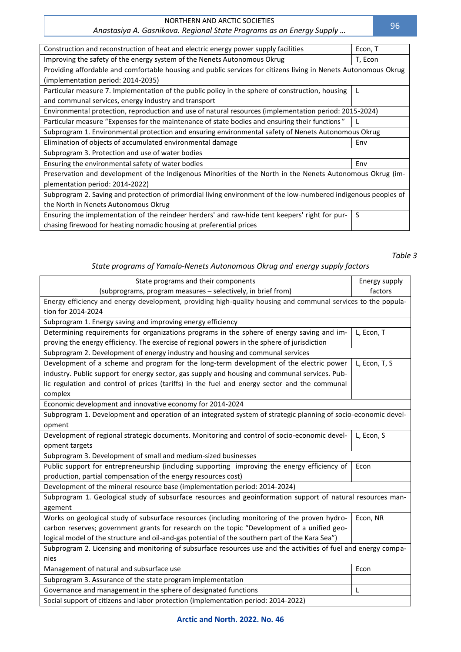#### NORTHERN AND ARCTIC SOCIETIES *Anastasiya A. Gasnikova. Regional State Programs as an Energy Supply …*

| Construction and reconstruction of heat and electric energy power supply facilities                             | Econ, T |  |
|-----------------------------------------------------------------------------------------------------------------|---------|--|
| Improving the safety of the energy system of the Nenets Autonomous Okrug                                        | T, Econ |  |
| Providing affordable and comfortable housing and public services for citizens living in Nenets Autonomous Okrug |         |  |
| (implementation period: 2014-2035)                                                                              |         |  |
| Particular measure 7. Implementation of the public policy in the sphere of construction, housing                |         |  |
| and communal services, energy industry and transport                                                            |         |  |
| Environmental protection, reproduction and use of natural resources (implementation period: 2015-2024)          |         |  |
| Particular measure "Expenses for the maintenance of state bodies and ensuring their functions"                  |         |  |
| Subprogram 1. Environmental protection and ensuring environmental safety of Nenets Autonomous Okrug             |         |  |
| Elimination of objects of accumulated environmental damage                                                      | Env     |  |
| Subprogram 3. Protection and use of water bodies                                                                |         |  |
| Ensuring the environmental safety of water bodies                                                               | Env     |  |
| Preservation and development of the Indigenous Minorities of the North in the Nenets Autonomous Okrug (im-      |         |  |
| plementation period: 2014-2022)                                                                                 |         |  |
| Subprogram 2. Saving and protection of primordial living environment of the low-numbered indigenous peoples of  |         |  |
| the North in Nenets Autonomous Okrug                                                                            |         |  |
| Ensuring the implementation of the reindeer herders' and raw-hide tent keepers' right for pur-                  | S       |  |
| chasing firewood for heating nomadic housing at preferential prices                                             |         |  |

# *State programs of Yamalo-Nenets Autonomous Okrug and energy supply factors*

| State programs and their components                                                                             | Energy supply |
|-----------------------------------------------------------------------------------------------------------------|---------------|
| (subprograms, program measures - selectively, in brief from)                                                    | factors       |
| Energy efficiency and energy development, providing high-quality housing and communal services to the popula-   |               |
| tion for 2014-2024                                                                                              |               |
| Subprogram 1. Energy saving and improving energy efficiency                                                     |               |
| Determining requirements for organizations programs in the sphere of energy saving and im-                      | L, Econ, T    |
| proving the energy efficiency. The exercise of regional powers in the sphere of jurisdiction                    |               |
| Subprogram 2. Development of energy industry and housing and communal services                                  |               |
| Development of a scheme and program for the long-term development of the electric power                         | L, Econ, T, S |
| industry. Public support for energy sector, gas supply and housing and communal services. Pub-                  |               |
| lic regulation and control of prices (tariffs) in the fuel and energy sector and the communal                   |               |
| complex                                                                                                         |               |
| Economic development and innovative economy for 2014-2024                                                       |               |
| Subprogram 1. Development and operation of an integrated system of strategic planning of socio-economic devel-  |               |
| opment                                                                                                          |               |
| Development of regional strategic documents. Monitoring and control of socio-economic devel-                    | L, Econ, S    |
| opment targets                                                                                                  |               |
| Subprogram 3. Development of small and medium-sized businesses                                                  |               |
| Public support for entrepreneurship (including supporting improving the energy efficiency of                    | Econ          |
| production, partial compensation of the energy resources cost)                                                  |               |
| Development of the mineral resource base (implementation period: 2014-2024)                                     |               |
| Subprogram 1. Geological study of subsurface resources and geoinformation support of natural resources man-     |               |
| agement                                                                                                         |               |
| Works on geological study of subsurface resources (including monitoring of the proven hydro-                    | Econ, NR      |
| carbon reserves; government grants for research on the topic "Development of a unified geo-                     |               |
| logical model of the structure and oil-and-gas potential of the southern part of the Kara Sea")                 |               |
| Subprogram 2. Licensing and monitoring of subsurface resources use and the activities of fuel and energy compa- |               |
| nies                                                                                                            |               |
| Management of natural and subsurface use                                                                        | Econ          |
| Subprogram 3. Assurance of the state program implementation                                                     |               |
| Governance and management in the sphere of designated functions                                                 | L             |
| Social support of citizens and labor protection (implementation period: 2014-2022)                              |               |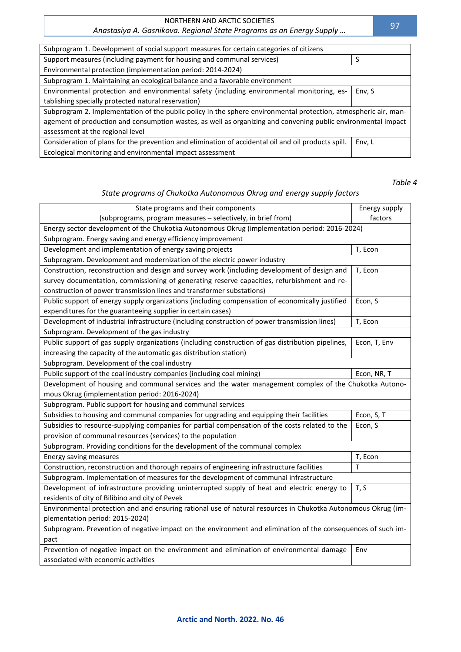### NORTHERN AND ARCTIC SOCIETIES

# *Anastasiya A. Gasnikova. Regional State Programs as an Energy Supply …*

| Subprogram 1. Development of social support measures for certain categories of citizens                         |        |  |
|-----------------------------------------------------------------------------------------------------------------|--------|--|
| Support measures (including payment for housing and communal services)                                          |        |  |
| Environmental protection (implementation period: 2014-2024)                                                     |        |  |
| Subprogram 1. Maintaining an ecological balance and a favorable environment                                     |        |  |
| Environmental protection and environmental safety (including environmental monitoring, es-                      | Env, S |  |
| tablishing specially protected natural reservation)                                                             |        |  |
| Subprogram 2. Implementation of the public policy in the sphere environmental protection, atmospheric air, man- |        |  |
| agement of production and consumption wastes, as well as organizing and convening public environmental impact   |        |  |
| assessment at the regional level                                                                                |        |  |
| Consideration of plans for the prevention and elimination of accidental oil and oil products spill.             | Env, L |  |
| Ecological monitoring and environmental impact assessment                                                       |        |  |

*Table 4*

# *State programs of Chukotka Autonomous Okrug and energy supply factors*

| State programs and their components                                                                           | Energy supply |  |
|---------------------------------------------------------------------------------------------------------------|---------------|--|
| (subprograms, program measures - selectively, in brief from)                                                  | factors       |  |
| Energy sector development of the Chukotka Autonomous Okrug (implementation period: 2016-2024)                 |               |  |
| Subprogram. Energy saving and energy efficiency improvement                                                   |               |  |
| Development and implementation of energy saving projects                                                      | T, Econ       |  |
| Subprogram. Development and modernization of the electric power industry                                      |               |  |
| Construction, reconstruction and design and survey work (including development of design and                  | T, Econ       |  |
| survey documentation, commissioning of generating reserve capacities, refurbishment and re-                   |               |  |
| construction of power transmission lines and transformer substations)                                         |               |  |
| Public support of energy supply organizations (including compensation of economically justified               | Econ, S       |  |
| expenditures for the guaranteeing supplier in certain cases)                                                  |               |  |
| Development of industrial infrastructure (including construction of power transmission lines)                 | T, Econ       |  |
| Subprogram. Development of the gas industry                                                                   |               |  |
| Public support of gas supply organizations (including construction of gas distribution pipelines,             | Econ, T, Env  |  |
| increasing the capacity of the automatic gas distribution station)                                            |               |  |
| Subprogram. Development of the coal industry                                                                  |               |  |
| Public support of the coal industry companies (including coal mining)                                         | Econ, NR, T   |  |
| Development of housing and communal services and the water management complex of the Chukotka Autono-         |               |  |
| mous Okrug (implementation period: 2016-2024)                                                                 |               |  |
| Subprogram. Public support for housing and communal services                                                  |               |  |
| Subsidies to housing and communal companies for upgrading and equipping their facilities                      | Econ, S, T    |  |
| Subsidies to resource-supplying companies for partial compensation of the costs related to the                | Econ, S       |  |
| provision of communal resources (services) to the population                                                  |               |  |
| Subprogram. Providing conditions for the development of the communal complex                                  |               |  |
| Energy saving measures                                                                                        | T, Econ       |  |
| Construction, reconstruction and thorough repairs of engineering infrastructure facilities                    | T             |  |
| Subprogram. Implementation of measures for the development of communal infrastructure                         |               |  |
| Development of infrastructure providing uninterrupted supply of heat and electric energy to                   | T, S          |  |
| residents of city of Bilibino and city of Pevek                                                               |               |  |
| Environmental protection and and ensuring rational use of natural resources in Chukotka Autonomous Okrug (im- |               |  |
| plementation period: 2015-2024)                                                                               |               |  |
| Subprogram. Prevention of negative impact on the environment and elimination of the consequences of such im-  |               |  |
| pact                                                                                                          |               |  |
| Prevention of negative impact on the environment and elimination of environmental damage                      | Env           |  |
| associated with economic activities                                                                           |               |  |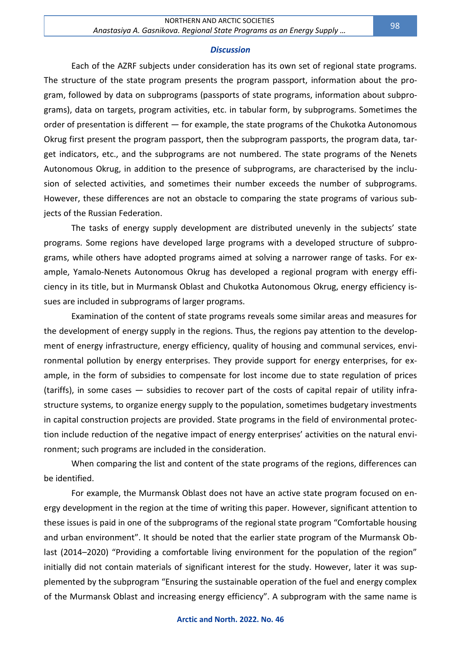#### *Discussion*

Each of the AZRF subjects under consideration has its own set of regional state programs. The structure of the state program presents the program passport, information about the program, followed by data on subprograms (passports of state programs, information about subprograms), data on targets, program activities, etc. in tabular form, by subprograms. Sometimes the order of presentation is different — for example, the state programs of the Chukotka Autonomous Okrug first present the program passport, then the subprogram passports, the program data, target indicators, etc., and the subprograms are not numbered. The state programs of the Nenets Autonomous Okrug, in addition to the presence of subprograms, are characterised by the inclusion of selected activities, and sometimes their number exceeds the number of subprograms. However, these differences are not an obstacle to comparing the state programs of various subjects of the Russian Federation.

The tasks of energy supply development are distributed unevenly in the subjects' state programs. Some regions have developed large programs with a developed structure of subprograms, while others have adopted programs aimed at solving a narrower range of tasks. For example, Yamalo-Nenets Autonomous Okrug has developed a regional program with energy efficiency in its title, but in Murmansk Oblast and Chukotka Autonomous Okrug, energy efficiency issues are included in subprograms of larger programs.

Examination of the content of state programs reveals some similar areas and measures for the development of energy supply in the regions. Thus, the regions pay attention to the development of energy infrastructure, energy efficiency, quality of housing and communal services, environmental pollution by energy enterprises. They provide support for energy enterprises, for example, in the form of subsidies to compensate for lost income due to state regulation of prices (tariffs), in some cases — subsidies to recover part of the costs of capital repair of utility infrastructure systems, to organize energy supply to the population, sometimes budgetary investments in capital construction projects are provided. State programs in the field of environmental protection include reduction of the negative impact of energy enterprises' activities on the natural environment; such programs are included in the consideration.

When comparing the list and content of the state programs of the regions, differences can be identified.

For example, the Murmansk Oblast does not have an active state program focused on energy development in the region at the time of writing this paper. However, significant attention to these issues is paid in one of the subprograms of the regional state program "Comfortable housing and urban environment". It should be noted that the earlier state program of the Murmansk Oblast (2014–2020) "Providing a comfortable living environment for the population of the region" initially did not contain materials of significant interest for the study. However, later it was supplemented by the subprogram "Ensuring the sustainable operation of the fuel and energy complex of the Murmansk Oblast and increasing energy efficiency". A subprogram with the same name is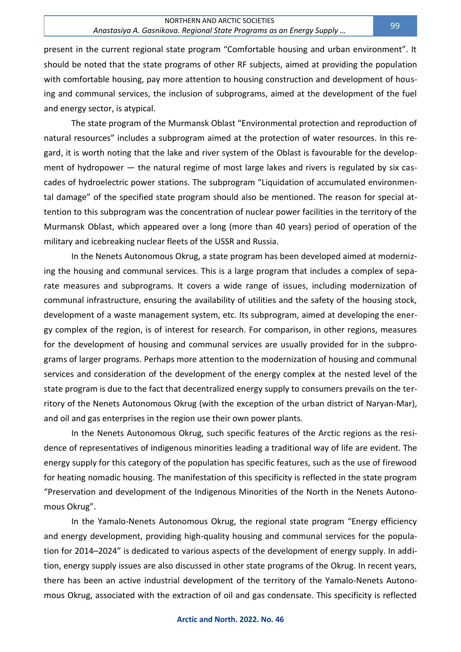present in the current regional state program "Comfortable housing and urban environment". It should be noted that the state programs of other RF subjects, aimed at providing the population with comfortable housing, pay more attention to housing construction and development of housing and communal services, the inclusion of subprograms, aimed at the development of the fuel and energy sector, is atypical.

The state program of the Murmansk Oblast "Environmental protection and reproduction of natural resources" includes a subprogram aimed at the protection of water resources. In this regard, it is worth noting that the lake and river system of the Oblast is favourable for the development of hydropower — the natural regime of most large lakes and rivers is regulated by six cascades of hydroelectric power stations. The subprogram "Liquidation of accumulated environmental damage" of the specified state program should also be mentioned. The reason for special attention to this subprogram was the concentration of nuclear power facilities in the territory of the Murmansk Oblast, which appeared over a long (more than 40 years) period of operation of the military and icebreaking nuclear fleets of the USSR and Russia.

In the Nenets Autonomous Okrug, a state program has been developed aimed at modernizing the housing and communal services. This is a large program that includes a complex of separate measures and subprograms. It covers a wide range of issues, including modernization of communal infrastructure, ensuring the availability of utilities and the safety of the housing stock, development of a waste management system, etc. Its subprogram, aimed at developing the energy complex of the region, is of interest for research. For comparison, in other regions, measures for the development of housing and communal services are usually provided for in the subprograms of larger programs. Perhaps more attention to the modernization of housing and communal services and consideration of the development of the energy complex at the nested level of the state program is due to the fact that decentralized energy supply to consumers prevails on the territory of the Nenets Autonomous Okrug (with the exception of the urban district of Naryan-Mar), and oil and gas enterprises in the region use their own power plants.

In the Nenets Autonomous Okrug, such specific features of the Arctic regions as the residence of representatives of indigenous minorities leading a traditional way of life are evident. The energy supply for this category of the population has specific features, such as the use of firewood for heating nomadic housing. The manifestation of this specificity is reflected in the state program "Preservation and development of the Indigenous Minorities of the North in the Nenets Autonomous Okrug".

In the Yamalo-Nenets Autonomous Okrug, the regional state program "Energy efficiency and energy development, providing high-quality housing and communal services for the population for 2014–2024" is dedicated to various aspects of the development of energy supply. In addition, energy supply issues are also discussed in other state programs of the Okrug. In recent years, there has been an active industrial development of the territory of the Yamalo-Nenets Autonomous Okrug, associated with the extraction of oil and gas condensate. This specificity is reflected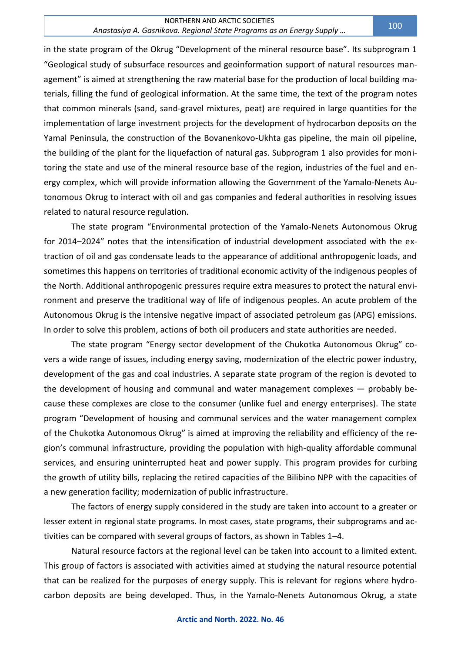in the state program of the Okrug "Development of the mineral resource base". Its subprogram 1 "Geological study of subsurface resources and geoinformation support of natural resources management" is aimed at strengthening the raw material base for the production of local building materials, filling the fund of geological information. At the same time, the text of the program notes that common minerals (sand, sand-gravel mixtures, peat) are required in large quantities for the implementation of large investment projects for the development of hydrocarbon deposits on the Yamal Peninsula, the construction of the Bovanenkovo-Ukhta gas pipeline, the main oil pipeline, the building of the plant for the liquefaction of natural gas. Subprogram 1 also provides for monitoring the state and use of the mineral resource base of the region, industries of the fuel and energy complex, which will provide information allowing the Government of the Yamalo-Nenets Autonomous Okrug to interact with oil and gas companies and federal authorities in resolving issues related to natural resource regulation.

The state program "Environmental protection of the Yamalo-Nenets Autonomous Okrug for 2014–2024" notes that the intensification of industrial development associated with the extraction of oil and gas condensate leads to the appearance of additional anthropogenic loads, and sometimes this happens on territories of traditional economic activity of the indigenous peoples of the North. Additional anthropogenic pressures require extra measures to protect the natural environment and preserve the traditional way of life of indigenous peoples. An acute problem of the Autonomous Okrug is the intensive negative impact of associated petroleum gas (APG) emissions. In order to solve this problem, actions of both oil producers and state authorities are needed.

The state program "Energy sector development of the Chukotka Autonomous Okrug" covers a wide range of issues, including energy saving, modernization of the electric power industry, development of the gas and coal industries. A separate state program of the region is devoted to the development of housing and communal and water management complexes — probably because these complexes are close to the consumer (unlike fuel and energy enterprises). The state program "Development of housing and communal services and the water management complex of the Chukotka Autonomous Okrug" is aimed at improving the reliability and efficiency of the region's communal infrastructure, providing the population with high-quality affordable communal services, and ensuring uninterrupted heat and power supply. This program provides for curbing the growth of utility bills, replacing the retired capacities of the Bilibino NPP with the capacities of a new generation facility; modernization of public infrastructure.

The factors of energy supply considered in the study are taken into account to a greater or lesser extent in regional state programs. In most cases, state programs, their subprograms and activities can be compared with several groups of factors, as shown in Tables 1–4.

Natural resource factors at the regional level can be taken into account to a limited extent. This group of factors is associated with activities aimed at studying the natural resource potential that can be realized for the purposes of energy supply. This is relevant for regions where hydrocarbon deposits are being developed. Thus, in the Yamalo-Nenets Autonomous Okrug, a state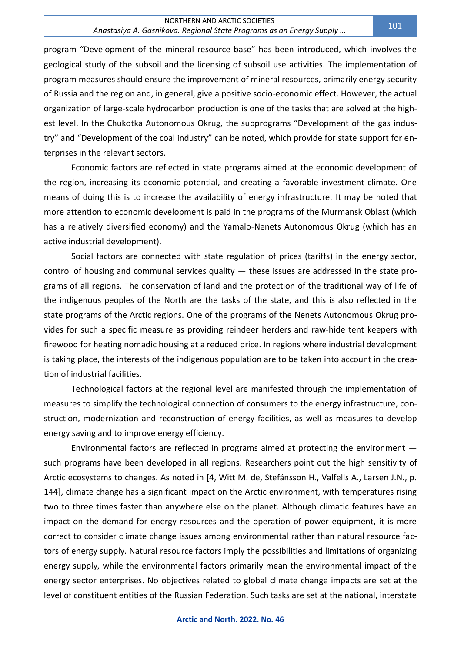program "Development of the mineral resource base" has been introduced, which involves the geological study of the subsoil and the licensing of subsoil use activities. The implementation of program measures should ensure the improvement of mineral resources, primarily energy security of Russia and the region and, in general, give a positive socio-economic effect. However, the actual organization of large-scale hydrocarbon production is one of the tasks that are solved at the highest level. In the Chukotka Autonomous Okrug, the subprograms "Development of the gas industry" and "Development of the coal industry" can be noted, which provide for state support for enterprises in the relevant sectors.

Economic factors are reflected in state programs aimed at the economic development of the region, increasing its economic potential, and creating a favorable investment climate. One means of doing this is to increase the availability of energy infrastructure. It may be noted that more attention to economic development is paid in the programs of the Murmansk Oblast (which has a relatively diversified economy) and the Yamalo-Nenets Autonomous Okrug (which has an active industrial development).

Social factors are connected with state regulation of prices (tariffs) in the energy sector, control of housing and communal services quality  $-$  these issues are addressed in the state programs of all regions. The conservation of land and the protection of the traditional way of life of the indigenous peoples of the North are the tasks of the state, and this is also reflected in the state programs of the Arctic regions. One of the programs of the Nenets Autonomous Okrug provides for such a specific measure as providing reindeer herders and raw-hide tent keepers with firewood for heating nomadic housing at a reduced price. In regions where industrial development is taking place, the interests of the indigenous population are to be taken into account in the creation of industrial facilities.

Technological factors at the regional level are manifested through the implementation of measures to simplify the technological connection of consumers to the energy infrastructure, construction, modernization and reconstruction of energy facilities, as well as measures to develop energy saving and to improve energy efficiency.

Environmental factors are reflected in programs aimed at protecting the environment such programs have been developed in all regions. Researchers point out the high sensitivity of Arctic ecosystems to changes. As noted in [4, Witt M. de, Stefánsson H., Valfells A., Larsen J.N., p. 144], climate change has a significant impact on the Arctic environment, with temperatures rising two to three times faster than anywhere else on the planet. Although climatic features have an impact on the demand for energy resources and the operation of power equipment, it is more correct to consider climate change issues among environmental rather than natural resource factors of energy supply. Natural resource factors imply the possibilities and limitations of organizing energy supply, while the environmental factors primarily mean the environmental impact of the energy sector enterprises. No objectives related to global climate change impacts are set at the level of constituent entities of the Russian Federation. Such tasks are set at the national, interstate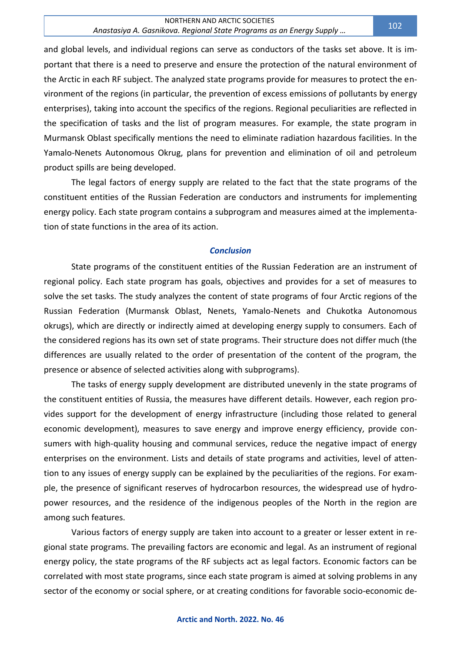and global levels, and individual regions can serve as conductors of the tasks set above. It is important that there is a need to preserve and ensure the protection of the natural environment of the Arctic in each RF subject. The analyzed state programs provide for measures to protect the environment of the regions (in particular, the prevention of excess emissions of pollutants by energy enterprises), taking into account the specifics of the regions. Regional peculiarities are reflected in the specification of tasks and the list of program measures. For example, the state program in Murmansk Oblast specifically mentions the need to eliminate radiation hazardous facilities. In the Yamalo-Nenets Autonomous Okrug, plans for prevention and elimination of oil and petroleum product spills are being developed.

The legal factors of energy supply are related to the fact that the state programs of the constituent entities of the Russian Federation are conductors and instruments for implementing energy policy. Each state program contains a subprogram and measures aimed at the implementation of state functions in the area of its action.

#### *Conclusion*

State programs of the constituent entities of the Russian Federation are an instrument of regional policy. Each state program has goals, objectives and provides for a set of measures to solve the set tasks. The study analyzes the content of state programs of four Arctic regions of the Russian Federation (Murmansk Oblast, Nenets, Yamalo-Nenets and Chukotka Autonomous okrugs), which are directly or indirectly aimed at developing energy supply to consumers. Each of the considered regions has its own set of state programs. Their structure does not differ much (the differences are usually related to the order of presentation of the content of the program, the presence or absence of selected activities along with subprograms).

The tasks of energy supply development are distributed unevenly in the state programs of the constituent entities of Russia, the measures have different details. However, each region provides support for the development of energy infrastructure (including those related to general economic development), measures to save energy and improve energy efficiency, provide consumers with high-quality housing and communal services, reduce the negative impact of energy enterprises on the environment. Lists and details of state programs and activities, level of attention to any issues of energy supply can be explained by the peculiarities of the regions. For example, the presence of significant reserves of hydrocarbon resources, the widespread use of hydropower resources, and the residence of the indigenous peoples of the North in the region are among such features.

Various factors of energy supply are taken into account to a greater or lesser extent in regional state programs. The prevailing factors are economic and legal. As an instrument of regional energy policy, the state programs of the RF subjects act as legal factors. Economic factors can be correlated with most state programs, since each state program is aimed at solving problems in any sector of the economy or social sphere, or at creating conditions for favorable socio-economic de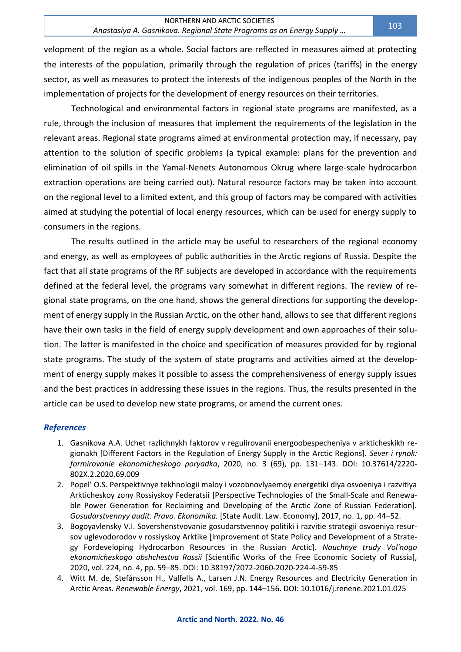velopment of the region as a whole. Social factors are reflected in measures aimed at protecting the interests of the population, primarily through the regulation of prices (tariffs) in the energy sector, as well as measures to protect the interests of the indigenous peoples of the North in the implementation of projects for the development of energy resources on their territories.

Technological and environmental factors in regional state programs are manifested, as a rule, through the inclusion of measures that implement the requirements of the legislation in the relevant areas. Regional state programs aimed at environmental protection may, if necessary, pay attention to the solution of specific problems (a typical example: plans for the prevention and elimination of oil spills in the Yamal-Nenets Autonomous Okrug where large-scale hydrocarbon extraction operations are being carried out). Natural resource factors may be taken into account on the regional level to a limited extent, and this group of factors may be compared with activities aimed at studying the potential of local energy resources, which can be used for energy supply to consumers in the regions.

The results outlined in the article may be useful to researchers of the regional economy and energy, as well as employees of public authorities in the Arctic regions of Russia. Despite the fact that all state programs of the RF subjects are developed in accordance with the requirements defined at the federal level, the programs vary somewhat in different regions. The review of regional state programs, on the one hand, shows the general directions for supporting the development of energy supply in the Russian Arctic, on the other hand, allows to see that different regions have their own tasks in the field of energy supply development and own approaches of their solution. The latter is manifested in the choice and specification of measures provided for by regional state programs. The study of the system of state programs and activities aimed at the development of energy supply makes it possible to assess the comprehensiveness of energy supply issues and the best practices in addressing these issues in the regions. Thus, the results presented in the article can be used to develop new state programs, or amend the current ones.

# *References*

- 1. Gasnikova A.A. Uchet razlichnykh faktorov v regulirovanii energoobespecheniya v arkticheskikh regionakh [Different Factors in the Regulation of Energy Supply in the Arctic Regions]. *Sever i rynok: formirovanie ekonomicheskogo poryadka*, 2020, no. 3 (69), pp. 131–143. DOI: 10.37614/2220- 802X.2.2020.69.009
- 2. Popel' O.S. Perspektivnye tekhnologii maloy i vozobnovlyaemoy energetiki dlya osvoeniya i razvitiya Arkticheskoy zony Rossiyskoy Federatsii [Perspective Technologies of the Small-Scale and Renewable Power Generation for Reclaiming and Developing of the Arctic Zone of Russian Federation]. *Gosudarstvennyy audit. Pravo. Ekonomika.* [State Audit. Law. Economy], 2017, no. 1, pp. 44–52.
- 3. Bogoyavlensky V.I. Sovershenstvovanie gosudarstvennoy politiki i razvitie strategii osvoeniya resursov uglevodorodov v rossiyskoy Arktike [Improvement of State Policy and Development of a Strategy Fordeveloping Hydrocarbon Resources in the Russian Arctic]. *Nauchnye trudy Vol'nogo ekonomicheskogo obshchestva Rossii* [Scientific Works of the Free Economic Society of Russia], 2020, vol. 224, no. 4, pp. 59–85. DOI: 10.38197/2072-2060-2020-224-4-59-85
- 4. Witt M. de, Stefánsson H., Valfells A., Larsen J.N. Energy Resources and Electricity Generation in Arctic Areas. *Renewable Energy*, 2021, vol. 169, pp. 144–156. DOI: 10.1016/j.renene.2021.01.025